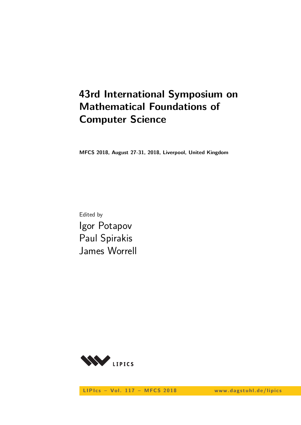# **43rd International Symposium on Mathematical Foundations of Computer Science**

**MFCS 2018, August 27-31, 2018, Liverpool, United Kingdom**

Edited by Igor Potapov Paul Spirakis James Worrell



LIPIcs - Vol. 117 - MFCS 2018 www.dagstuhl.de/lipics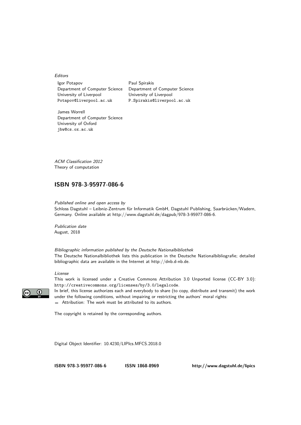Editors

Igor Potapov Paul Spirakis Department of Computer Science Department of Computer Science University of Liverpool University of Liverpool Potapov@liverpool.ac.uk P.Spirakis@liverpool.ac.uk

James Worrell Department of Computer Science University of Oxford jbw@cs.ox.ac.uk

ACM Classification 2012 Theory of computation

#### **[ISBN 978-3-95977-086-6](http://www.dagstuhl.de/dagpub/978-3-95977-086-6)**

Published online and open access by

Schloss Dagstuhl – Leibniz-Zentrum für Informatik GmbH, Dagstuhl Publishing, Saarbrücken/Wadern, Germany. Online available at [http://www.dagstuhl.de/dagpub/978-3-95977-086-6.](http://www.dagstuhl.de/dagpub/978-3-95977-086-6)

Publication date August, 2018

Bibliographic information published by the Deutsche Nationalbibliothek The Deutsche Nationalbibliothek lists this publication in the Deutsche Nationalbibliografie; detailed bibliographic data are available in the Internet at [http://dnb.d-nb.de.](http://dnb.d-nb.de)

#### License

This work is licensed under a Creative Commons Attribution 3.0 Unported license (CC-BY 3.0): http://creativecommons.org/licenses/by/3.0/legalcode.

In brief, this license authorizes each and everybody to share (to copy, distribute and transmit) the work under the following conditions, without impairing or restricting the authors' moral rights: Attribution: The work must be attributed to its authors.

The copyright is retained by the corresponding authors.

Digital Object Identifier: [10.4230/LIPIcs.MFCS.2018.0](http://dx.doi.org/10.4230/LIPIcs.MFCS.2018.0)

**[ISBN 978-3-95977-086-6](http://www.dagstuhl.de/dagpub/978-3-95977-086-6) [ISSN 1868-8969](http://drops.dagstuhl.de/lipics)<http://www.dagstuhl.de/lipics>**

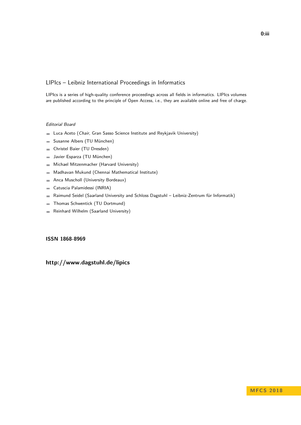#### LIPIcs – Leibniz International Proceedings in Informatics

LIPIcs is a series of high-quality conference proceedings across all fields in informatics. LIPIcs volumes are published according to the principle of Open Access, i.e., they are available online and free of charge.

#### Editorial Board

- **Luca Aceto** (*Chair*, Gran Sasso Science Institute and Reykjavik University)
- Susanne Albers (TU München)  $\equiv$
- Christel Baier (TU Dresden)  $\sim$
- Javier Esparza (TU München)  $\equiv$
- Michael Mitzenmacher (Harvard University)  $\sim$
- Madhavan Mukund (Chennai Mathematical Institute)  $\blacksquare$
- Anca Muscholl (University Bordeaux)  $\blacksquare$
- Catuscia Palamidessi (INRIA)  $\overline{\phantom{a}}$
- Raimund Seidel (Saarland University and Schloss Dagstuhl Leibniz-Zentrum für Informatik)  $\blacksquare$
- Thomas Schwentick (TU Dortmund)  $\overline{a}$
- Reinhard Wilhelm (Saarland University)  $\sim$

#### **[ISSN 1868-8969](http://www.dagstuhl.de/dagpub/1868-8969)**

### **<http://www.dagstuhl.de/lipics>**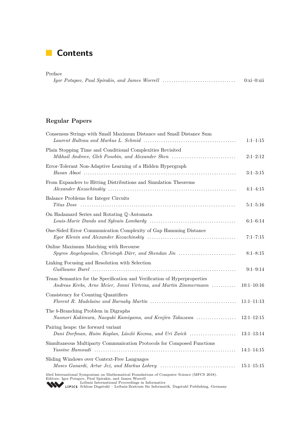### **Contents**

| Preface |             |
|---------|-------------|
|         | $0:xi-0:xi$ |

### **Regular Papers**

| Consensus Strings with Small Maximum Distance and Small Distance Sum                                                                                                                                     | $1:1-1:15$     |
|----------------------------------------------------------------------------------------------------------------------------------------------------------------------------------------------------------|----------------|
| Plain Stopping Time and Conditional Complexities Revisited<br>Mikhail Andreev, Gleb Posobin, and Alexander Shen                                                                                          | $2:1-2:12$     |
| Error-Tolerant Non-Adaptive Learning of a Hidden Hypergraph                                                                                                                                              | $3:1-3:15$     |
| From Expanders to Hitting Distributions and Simulation Theorems                                                                                                                                          | $4:1-4:15$     |
| Balance Problems for Integer Circuits                                                                                                                                                                    | $5:1 - 5:16$   |
| On Hadamard Series and Rotating Q-Automata                                                                                                                                                               | $6:1-6:14$     |
| One-Sided Error Communication Complexity of Gap Hamming Distance                                                                                                                                         | $7:1 - 7:15$   |
| Online Maximum Matching with Recourse<br>Spyros Angelopoulos, Christoph Dürr, and Shendan Jin                                                                                                            | $8:1 - 8:15$   |
| Linking Focusing and Resolution with Selection                                                                                                                                                           | $9:1-9:14$     |
| Team Semantics for the Specification and Verification of Hyperproperties<br>Andreas Krebs, Arne Meier, Jonni Virtema, and Martin Zimmermann                                                              | $10:1-10:16$   |
| Consistency for Counting Quantifiers                                                                                                                                                                     | $11:1-11:13$   |
| The b-Branching Problem in Digraphs<br>Naonori Kakimura, Naoyuki Kamiyama, and Kenjiro Takazawa                                                                                                          | $12:1-12:15$   |
| Pairing heaps: the forward variant<br>Dani Dorfman, Haim Kaplan, László Kozma, and Uri Zwick                                                                                                             | $13:1 - 13:14$ |
| Simultaneous Multiparty Communication Protocols for Composed Functions                                                                                                                                   | $14:1-14:15$   |
| Sliding Windows over Context-Free Languages                                                                                                                                                              | $15:1 - 15:15$ |
| 43rd International Symposium on Mathematical Foundations of Computer Science (MFCS 2018).<br>Editors: Igor Potapov, Paul Spirakis, and James Worrell<br>Leibniz International Proceedings in Informatics |                |

[Leibniz International Proceedings in Informatics](http://www.dagstuhl.de/lipics/) [Schloss Dagstuhl – Leibniz-Zentrum für Informatik, Dagstuhl Publishing, Germany](http://www.dagstuhl.de)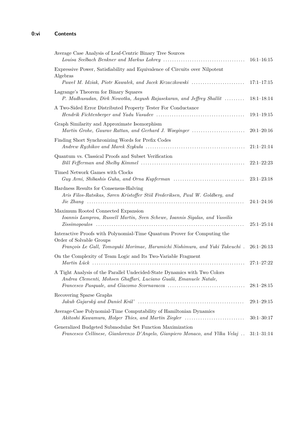| Average Case Analysis of Leaf-Centric Binary Tree Sources                                                                                              | $16:1 - 16:15$ |
|--------------------------------------------------------------------------------------------------------------------------------------------------------|----------------|
| Expressive Power, Satisfiability and Equivalence of Circuits over Nilpotent<br>Algebras                                                                |                |
| Paweł M. Idziak, Piotr Kawałek, and Jacek Krzaczkowski                                                                                                 | $17:1 - 17:15$ |
| Lagrange's Theorem for Binary Squares<br>P. Madhusudan, Dirk Nowotka, Aayush Rajasekaran, and Jeffrey Shallit                                          | $18:1-18:14$   |
| A Two-Sided Error Distributed Property Tester For Conductance                                                                                          | $19:1-19:15$   |
| Graph Similarity and Approximate Isomorphism<br>Martin Grohe, Gaurav Rattan, and Gerhard J. Woeginger                                                  | $20:1 - 20:16$ |
| Finding Short Synchronizing Words for Prefix Codes                                                                                                     | $21:1 - 21:14$ |
| Quantum vs. Classical Proofs and Subset Verification                                                                                                   | $22:1-22:23$   |
| Timed Network Games with Clocks<br>Guy Avni, Shibashis Guha, and Orna Kupferman                                                                        | $23:1 - 23:18$ |
| Hardness Results for Consensus-Halving<br>Aris Filos-Ratsikas, Søren Kristoffer Stiil Frederiksen, Paul W. Goldberg, and                               | $24:1 - 24:16$ |
| Maximum Rooted Connected Expansion<br>Ioannis Lamprou, Russell Martin, Sven Schewe, Ioannis Sigalas, and Vassilis                                      | $25:1-25:14$   |
| Interactive Proofs with Polynomial-Time Quantum Prover for Computing the<br>Order of Solvable Groups                                                   |                |
| François Le Gall, Tomoyuki Morimae, Harumichi Nishimura, and Yuki Takeuchi.                                                                            | $26:1 - 26:13$ |
| On the Complexity of Team Logic and Its Two-Variable Fragment                                                                                          | $27:1 - 27:22$ |
| A Tight Analysis of the Parallel Undecided-State Dynamics with Two Colors<br>Andrea Clementi, Mohsen Ghaffari, Luciano Gualà, Emanuele Natale,         | $28:1-28:15$   |
| Recovering Sparse Graphs                                                                                                                               | $29:1-29:15$   |
| Average-Case Polynomial-Time Computability of Hamiltonian Dynamics<br>Akitoshi Kawamura, Holger Thies, and Martin Ziegler                              | $30:1 - 30:17$ |
| Generalized Budgeted Submodular Set Function Maximization<br>Francesco Cellinese, Gianlorenzo D'Angelo, Gianpiero Monaco, and Yllka Velaj . 31:1–31:14 |                |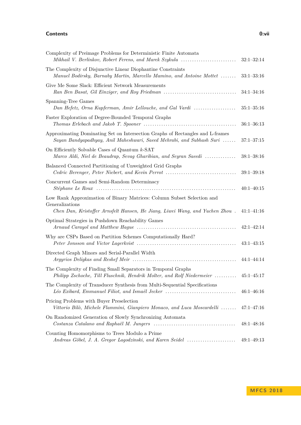#### **Contents 0:vii**

| Complexity of Preimage Problems for Deterministic Finite Automata<br>Mikhail V. Berlinkov, Robert Ferens, and Marek Szykula                                               | $32:1 - 32:14$ |
|---------------------------------------------------------------------------------------------------------------------------------------------------------------------------|----------------|
| The Complexity of Disjunctive Linear Diophantine Constraints<br>Manuel Bodirsky, Barnaby Martin, Marcello Mamino, and Antoine Mottet                                      | $33:1 - 33:16$ |
| Give Me Some Slack: Efficient Network Measurements<br>Ran Ben Basat, Gil Einziger, and Roy Friedman                                                                       | $34:1 - 34:16$ |
| Spanning-Tree Games<br>Dan Hefetz, Orna Kupferman, Amir Lellouche, and Gal Vardi                                                                                          | $35:1 - 35:16$ |
| Faster Exploration of Degree-Bounded Temporal Graphs                                                                                                                      | $36:1 - 36:13$ |
| Approximating Dominating Set on Intersection Graphs of Rectangles and L-frames<br>Sayan Bandyapadhyay, Anil Maheshwari, Saeed Mehrabi, and Subhash Suri                   | $37:1 - 37:15$ |
| On Efficiently Solvable Cases of Quantum k-SAT<br>Marco Aldi, Niel de Beaudrap, Sevag Gharibian, and Seyran Saeedi                                                        | $38:1 - 38:16$ |
| Balanced Connected Partitioning of Unweighted Grid Graphs<br>Cedric Berenger, Peter Niebert, and Kevin Perrot                                                             | $39:1 - 39:18$ |
| Concurrent Games and Semi-Random Determinacy                                                                                                                              | $40:1 - 40:15$ |
| Low Rank Approximation of Binary Matrices: Column Subset Selection and<br>Generalizations<br>Chen Dan, Kristoffer Arnsfelt Hansen, He Jiang, Liwei Wang, and Yuchen Zhou. | $41:1-41:16$   |
| Optimal Strategies in Pushdown Reachability Games                                                                                                                         | $42:1 - 42:14$ |
| Why are CSPs Based on Partition Schemes Computationally Hard?                                                                                                             | $43:1-43:15$   |
| Directed Graph Minors and Serial-Parallel Width                                                                                                                           | $44:1 - 44:14$ |
| The Complexity of Finding Small Separators in Temporal Graphs<br>Philipp Zschoche, Till Fluschnik, Hendrik Molter, and Rolf Niedermeier                                   | $45:1 - 45:17$ |
| The Complexity of Transducer Synthesis from Multi-Sequential Specifications<br>Léo Exibard, Emmanuel Filiot, and Ismaël Jecker                                            | $46:1 - 46:16$ |
| Pricing Problems with Buyer Preselection<br>Vittorio Bilò, Michele Flammini, Gianpiero Monaco, and Luca Moscardelli                                                       | $47:1 - 47:16$ |
| On Randomized Generation of Slowly Synchronizing Automata                                                                                                                 | $48:1 - 48:16$ |
| Counting Homomorphisms to Trees Modulo a Prime<br>Andreas Göbel, J. A. Gregor Lagodzinski, and Karen Seidel                                                               | $49:1 - 49:13$ |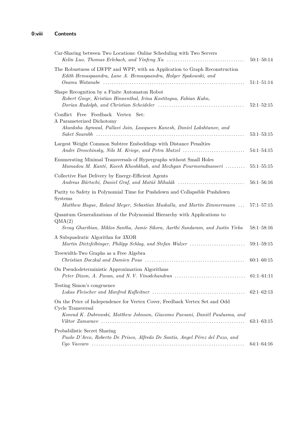| Car-Sharing between Two Locations: Online Scheduling with Two Servers                                                                                                          | $50:1 - 50:14$ |
|--------------------------------------------------------------------------------------------------------------------------------------------------------------------------------|----------------|
| The Robustness of LWPP and WPP, with an Application to Graph Reconstruction<br>Edith Hemaspaandra, Lane A. Hemaspaandra, Holger Spakowski, and                                 | $51:1 - 51:14$ |
| Shape Recognition by a Finite Automaton Robot<br>Robert Gmyr, Kristian Hinnenthal, Irina Kostitsyna, Fabian Kuhn,                                                              | $52:1 - 52:15$ |
| Conflict Free Feedback Vertex Set:<br>A Parameterized Dichotomy<br>Akanksha Agrawal, Pallavi Jain, Lawqueen Kanesh, Daniel Lokshtanov, and                                     | $53:1 - 53:15$ |
| Largest Weight Common Subtree Embeddings with Distance Penalties<br>Andre Droschinsky, Nils M. Kriege, and Petra Mutzel                                                        | $54:1 - 54:15$ |
| Enumerating Minimal Transversals of Hypergraphs without Small Holes<br>Mamadou M. Kanté, Kaveh Khoshkhah, and Mozhgan Pourmoradnasseri                                         | $55:1 - 55:15$ |
| Collective Fast Delivery by Energy-Efficient Agents<br>Andreas Bärtschi, Daniel Graf, and Matúš Mihalák                                                                        | $56:1 - 56:16$ |
| Parity to Safety in Polynomial Time for Pushdown and Collapsible Pushdown<br>Systems<br>Matthew Hague, Roland Meyer, Sebastian Muskalla, and Martin Zimmermann                 | $57:1 - 57:15$ |
| Quantum Generalizations of the Polynomial Hierarchy with Applications to<br>QMA(2)<br>Sevag Gharibian, Miklos Santha, Jamie Sikora, Aarthi Sundaram, and Justin Yirka          | $58:1 - 58:16$ |
| A Subquadratic Algorithm for 3XOR<br>Martin Dietzfelbinger, Philipp Schlag, and Stefan Walzer                                                                                  | $59:1 - 59:15$ |
| Treewidth-Two Graphs as a Free Algebra                                                                                                                                         | $60:1 - 60:15$ |
| On Pseudodeterministic Approximation Algorithms                                                                                                                                | $61:1-61:11$   |
| Testing Simon's congruence                                                                                                                                                     | $62:1-62:13$   |
| On the Price of Independence for Vertex Cover, Feedback Vertex Set and Odd<br>Cycle Transversal<br>Konrad K. Dabrowski, Matthew Johnson, Giacomo Paesani, Daniël Paulusma, and | $63:1-63:15$   |
| Probabilistic Secret Sharing<br>Paolo D'Arco, Roberto De Prisco, Alfredo De Santis, Angel Pérez del Pozo, and                                                                  | $64:1 - 64:16$ |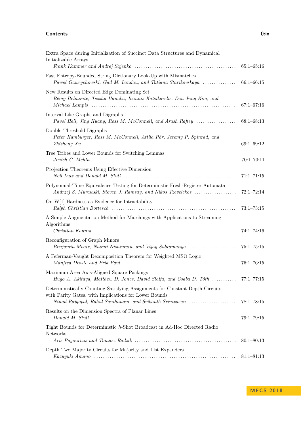#### **Contents 0:ix**

| Extra Space during Initialization of Succinct Data Structures and Dynamical<br>Initializable Arrays                                                                                                                          | $65:1 - 65:16$ |
|------------------------------------------------------------------------------------------------------------------------------------------------------------------------------------------------------------------------------|----------------|
| Fast Entropy-Bounded String Dictionary Look-Up with Mismatches<br>Paweł Gawrychowski, Gad M. Landau, and Tatiana Starikovskaya                                                                                               | $66:1 - 66:15$ |
| New Results on Directed Edge Dominating Set<br>Rémy Belmonte, Tesshu Hanaka, Ioannis Katsikarelis, Eun Jung Kim, and<br>Michael Lampis (al. 1993) (al. 1994) (al. 1994) (al. 1994) (al. 1994) (al. 1994) (b. 1994) (b. 1994) | $67:1 - 67:16$ |
| Interval-Like Graphs and Digraphs<br>Pavol Hell, Jing Huang, Ross M. McConnell, and Arash Rafiey                                                                                                                             | $68:1-68:13$   |
| Double Threshold Digraphs<br>Peter Hamburger, Ross M. McConnell, Attila Pór, Jeremy P. Spinrad, and                                                                                                                          | $69:1 - 69:12$ |
| Tree Tribes and Lower Bounds for Switching Lemmas                                                                                                                                                                            | $70:1 - 70:11$ |
| Projection Theorems Using Effective Dimension                                                                                                                                                                                | $71:1 - 71:15$ |
| Polynomial-Time Equivalence Testing for Deterministic Fresh-Register Automata<br>Andrzej S. Murawski, Steven J. Ramsay, and Nikos Tzevelekos                                                                                 | $72:1 - 72:14$ |
| On $W[1]$ -Hardness as Evidence for Intractability                                                                                                                                                                           | $73:1 - 73:15$ |
| A Simple Augmentation Method for Matchings with Applications to Streaming<br>Algorithms                                                                                                                                      | $74:1 - 74:16$ |
| Reconfiguration of Graph Minors<br>Benjamin Moore, Naomi Nishimura, and Vijay Subramanya                                                                                                                                     | $75:1 - 75:15$ |
| A Feferman-Vaught Decomposition Theorem for Weighted MSO Logic                                                                                                                                                               | $76:1 - 76:15$ |
| Maximum Area Axis-Aligned Square Packings<br>Hugo A. Akitaya, Matthew D. Jones, David Stalfa, and Csaba D. Tóth  77:1–77:15                                                                                                  |                |
| Deterministically Counting Satisfying Assignments for Constant-Depth Circuits<br>with Parity Gates, with Implications for Lower Bounds<br>Ninad Rajgopal, Rahul Santhanam, and Srikanth Srinivasan                           | $78:1 - 78:15$ |
| Results on the Dimension Spectra of Planar Lines                                                                                                                                                                             | $79:1 - 79:15$ |
| Tight Bounds for Deterministic h-Shot Broadcast in Ad-Hoc Directed Radio<br>Networks                                                                                                                                         | $80:1 - 80:13$ |
| Depth Two Majority Circuits for Majority and List Expanders                                                                                                                                                                  | $81:1 - 81:13$ |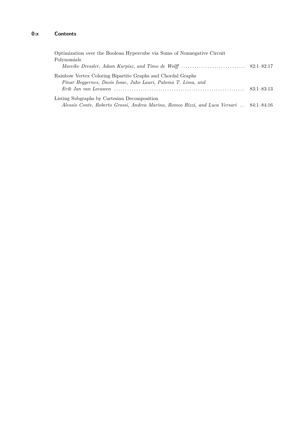| Optimization over the Boolean Hypercube via Sums of Nonnegative Circuit                  |                |
|------------------------------------------------------------------------------------------|----------------|
| Polynomials                                                                              |                |
|                                                                                          |                |
| Rainbow Vertex Coloring Bipartite Graphs and Chordal Graphs                              |                |
| Pinar Heggernes, Davis Issac, Juho Lauri, Paloma T. Lima, and                            |                |
|                                                                                          | $83:1 - 83:13$ |
| Listing Subgraphs by Cartesian Decomposition                                             |                |
| Alessio Conte, Roberto Grossi, Andrea Marino, Romeo Rizzi, and Luca Versari . 84:1-84:16 |                |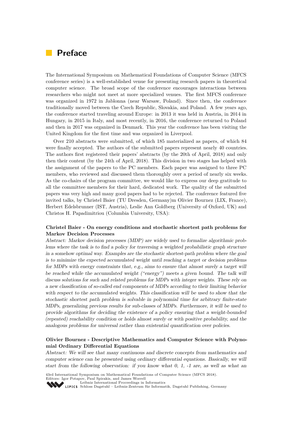### **Preface**

The International Symposium on Mathematical Foundations of Computer Science (MFCS conference series) is a well-established venue for presenting research papers in theoretical computer science. The broad scope of the conference encourages interactions between researchers who might not meet at more specialized venues. The first MFCS conference was organized in 1972 in Jablonna (near Warsaw, Poland). Since then, the conference traditionally moved between the Czech Republic, Slovakia, and Poland. A few years ago, the conference started traveling around Europe: in 2013 it was held in Austria, in 2014 in Hungary, in 2015 in Italy, and most recently, in 2016, the conference returned to Poland and then in 2017 was organized in Denmark. This year the conference has been visiting the United Kingdom for the first time and was organized in Liverpool.

Over 210 abstracts were submitted, of which 185 materialized as papers, of which 84 were finally accepted. The authors of the submitted papers represent nearly 40 countries. The authors first registered their papers' abstracts (by the 20th of April, 2018) and only then their content (by the 24th of April, 2018). This division in two stages has helped with the assignment of the papers to the PC members. Each paper was assigned to three PC members, who reviewed and discussed them thoroughly over a period of nearly six weeks. As the co-chairs of the program committee, we would like to express our deep gratitude to all the committee members for their hard, dedicated work. The quality of the submitted papers was very high and many good papers had to be rejected. The conference featured five invited talks, by Christel Baier (TU Dresden, Germany)m Olivier Bournez (LIX, France), Herbert Edelsbrunner (IST, Austria), Leslie Ann Goldberg (University of Oxford, UK) and Christos H. Papadimitriou (Columbia University, USA):

#### **Christel Baier - On energy conditions and stochastic shortest path problems for Markov Decision Processes**

Abstract: Markov decision processes (MDP) are widely used to formalize algorithmic problems where the task is to find a policy for traversing a weighted probabilistic graph structure in a somehow optimal way. Examples are the stochastic shortest-path problem where the goal is to minimize the expected accumulated weight until reaching a target or decision problems for MDPs with energy constraints that, e.g., aims to ensure that almost surely a target will be reached while the accumulated weight ("energy") meets a given bound. The talk will discuss solutions for such and related problems for MDPs with integer weights. These rely on a new classification of so-called end components of MDPs according to their limiting behavior with respect to the accumulated weights. This classification will be used to show that the stochastic shortest path problem is solvable in polynomial time for arbitrary finite-state MDPs, generalizing previous results for sub-classes of MDPs. Furthermore, it will be used to provide algorithms for deciding the existence of a policy ensuring that a weight-bounded (repeated) reachability condition or holds almost surely or with positive probability, and the analogous problems for universal rather than existential quantification over policies.

#### **Olivier Bournez - Descriptive Mathematics and Computer Science with Polynomial Ordinary Differential Equations**

Abstract: We will see that many continuous and discrete concepts from mathematics and computer science can be presented using ordinary differential equations. Basically, we will start from the following observation: if you know what 0, 1, -1 are, as well as what an

43rd International Symposium on Mathematical Foundations of Computer Science (MFCS 2018).

Editors: Igor Potapov, Paul Spirakis, and James Worrell<br> [Leibniz International Proceedings in Informatics](http://www.dagstuhl.de/lipics/)

[Schloss Dagstuhl – Leibniz-Zentrum für Informatik, Dagstuhl Publishing, Germany](http://www.dagstuhl.de)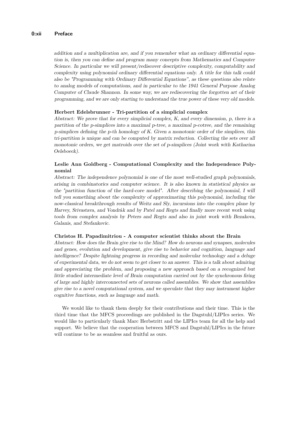#### **0:xii Preface**

addition and a multiplication are, and if you remember what an ordinary differential equation is, then you can define and program many concepts from Mathematics and Computer Science. In particular we will present/rediscover descriptive complexity, computability and complexity using polynomial ordinary differential equations only. A title for this talk could also be "Programming with Ordinary Differential Equations", as these questions also relate to analog models of computations, and in particular to the 1941 General Purpose Analog Computer of Claude Shannon. In some way, we are rediscovering the forgotten art of their programming, and we are only starting to understand the true power of these very old models.

#### **Herbert Edelsbrunner - Tri-partition of a simplicial complex**

Abstract: We prove that for every simplicial complex, K, and every dimension, p, there is a partition of the p-simplices into a maximal p-tree, a maximal p-cotree, and the remaining p-simplices defining the p-th homology of K. Given a monotonic order of the simplices, this tri-partition is unique and can be computed by matrix reduction. Collecting the sets over all monotonic orders, we get matroids over the set of p-simplices (Joint work with Katharina Oelsboeck).

#### **Leslie Ann Goldberg - Computational Complexity and the Independence Polynomial**

Abstract: The independence polynomial is one of the most well-studied graph polynomials, arising in combinatorics and computer science. It is also known in statistical physics as the "partition function of the hard-core model". After describing the polynomial, I will tell you something about the complexity of approximating this polynomial, including the now-classical breakthrough results of Weitz and Sly, incursions into the complex plane by Harvey, Srivastava, and Vondrák and by Patel and Regts and finally more recent work using tools from complex analysis by Peters and Regts and also in joint work with Bezakova, Galanis, and Stefankovic.

#### **Christos H. Papadimitriou - A computer scientist thinks about the Brain**

Abstract: How does the Brain give rise to the Mind? How do neurons and synapses, molecules and genes, evolution and development, give rise to behavior and cognition, language and intelligence? Despite lightning progress in recording and molecular technology and a deluge of experimental data, we do not seem to get closer to an answer. This is a talk about admiring and appreciating the problem, and proposing a new approach based on a recognized but little studied intermediate level of Brain computation carried out by the synchronous firing of large and highly interconnected sets of neurons called assemblies. We show that assemblies give rise to a novel computational system, and we speculate that they may instrument higher cognitive functions, such as language and math.

We would like to thank them deeply for their contributions and their time. This is the third time that the MFCS proceedings are published in the Dagstuhl/LIPIcs series. We would like to particularly thank Marc Herbstritt and the LIPIcs team for all the help and support. We believe that the cooperation between MFCS and Dagstuhl/LIPIcs in the future will continue to be as seamless and fruitful as ours.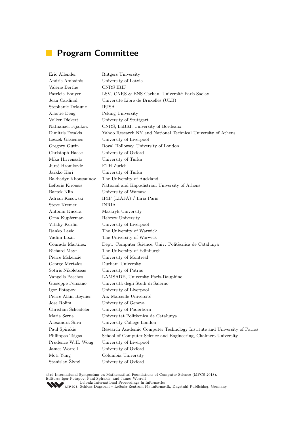### **Program Committee**

Eric Allender Rutgers University Andris Ambainis University of Latvia Valerie Berthe CNRS IRIF Patricia Bouyer LSV, CNRS & ENS Cachan, Université Paris Saclay Jean Cardinal Universite Libre de Bruxelles (ULB) Stephanie Delaune IRISA Xiaotie Deng Peking University Volker Diekert University of Stuttgart Nathanaël Fijalkow CNRS, LaBRI, University of Bordeaux Dimitris Fotakis Yahoo Research NY and National Technical University of Athens Leszek Gasieniec University of Liverpool Gregory Gutin Royal Holloway, University of London Christoph Haase University of Oxford Mika Hirvensalo University of Turku Juraj Hromkovic ETH Zurich Jarkko Kari University of Turku Bakhadyr Khoussainov The University of Auckland Lefteris Kirousis National and Kapodistrian University of Athens Bartek Klin University of Warsaw Adrian Kosowski IRIF (LIAFA) / Inria Paris Steve Kremer INRIA Antonin Kucera Masaryk University Orna Kupferman Hebrew University Vitaliy Kurlin University of Liverpool Ranko Lazic The University of Warwick Vadim Lozin The University of Warwick Conrado Martínez Dept. Computer Science, Univ. Politècnica de Catalunya Richard Mayr The University of Edinburgh Pierre Mckenzie University of Montreal George Mertzios Durham University Sotiris Nikoletseas University of Patras Vangelis Paschos LAMSADE, University Paris-Dauphine Giuseppe Persiano Università degli Studi di Salerno Igor Potapov University of Liverpool Pierre-Alain Reynier Aix-Marseille Université Jose Rolim University of Geneva Christian Scheideler University of Paderborn Maria Serna Universitat Politècnica de Catalunya Alexandra Silva University College London Paul Spirakis Research Academic Computer Technology Institute and University of Patras Philippas Tsigas School of Computer Science and Engineering, Chalmers University Prudence W.H. Wong University of Liverpool James Worrell University of Oxford Moti Yung Columbia University Stanislav Živný University of Oxford

43rd International Symposium on Mathematical Foundations of Computer Science (MFCS 2018). Editors: Igor Potapov, Paul Spirakis, and James Worrell<br> [Leibniz International Proceedings in Informatics](http://www.dagstuhl.de/lipics/)

[Schloss Dagstuhl – Leibniz-Zentrum für Informatik, Dagstuhl Publishing, Germany](http://www.dagstuhl.de)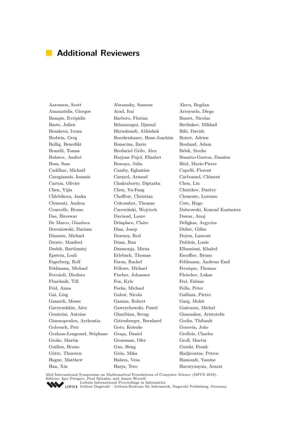### **Additional Reviewers**

Amanatidis, Giorgos Arad, Itai Arroyuelo, Diego Bampis, Evripidis Barbero, Florian Basset, Nicolas Baste, Julien Belazzougui, Djamal Berlinkov, Mikhail Bezakova, Ivona Bhrushundi, Abhishek Bilò, Davide Bodwin, Greg Boeckenhauer, Hans-Joachim Boiret, Adrien Bollig, Benedikt Bonacina, Ilario Bouland, Adam Brazdil, Tomas Bredariol Grilo, Alex Brlek, Srecko Bulatov, Andrei Burjons Pujol, Elisabet Busatto-Gaston, Damien Buss, Sam Buwaya, Julia Béal, Marie-Pierre Cadilhac, Michaël Camby, Eglantine Capelli, Florent Caragiannis, Ioannis Carayol, Arnaud Carbonnel, Clément Carton, Olivier Chakraborty, Diptarka Chen, Lin Chen, Yijia Chen, Yu-Fang Chistikov, Dmitry Chlebikova, Janka Choffrut, Christian Clemente, Lorenzo Clementi, Andrea Colcombet, Thomas Cote, Hugo Courcelle, Bruno Czerwiński, Wojciech Dabrowski, Konrad Kazimierz Das, Bireswar Daviaud, Laure Dawar, Anuj De Marco, Gianluca Delaplace, Claire Deligkas, Argyrios Dereniowski, Dariusz Diaz, Josep Didier, Gilles Dinneen, Michael Downey, Rod Doyen, Laurent Droste, Manfred Duan, Ran Dublois, Louis Dudek, Bartlomiej Dzamonja, Mirna Elbassioni, Khaled Epstein, Leah Erlebach, Thomas Escoffier, Bruno Fagerberg, Rolf Faran, Rachel Feldmann, Andreas Emil Feldmann, Michael Fellows, Michael Fernique, Thomas Ferraioli, Diodato Fischer, Johannes Fleischer, Lukas Fluschnik, Till Fox, Kyle Frei, Fabian Frid, Anna Fuchs, Michael Fulla, Peter Gai, Ling Galesi, Nicola Galliani, Pietro Ganardi, Moses Ganian, Robert Garg, Mohit Gavryushkin, Alex Gawrychowski, Pawel Gańczorz, Michał Genitrini, Antoine Gharibian, Sevag Giannakos, Aristotelis Giannopoulou, Archontia Gittenberger, Bernhard Godin, Thibault Golovach, Petr Goto, Keisuke Gouveia, João Graham-Lengrand, Stéphane Graça, Daniel Grellois, Charles Grohe, Martin Grossman, Ofer Groß, Martin Guillon, Bruno Guo, Heng Gurski, Frank Götte, Thorsten Göös, Mika Hadjicostas, Petros Hague, Matthew Halava, Vesa Hamoudi, Yassine Han, Xin Harju, Tero Harutyunyan, Ararat

Aaronson, Scott Abramsky, Samson Alecu, Bogdan

43rd International Symposium on Mathematical Foundations of Computer Science (MFCS 2018). Editors: Igor Potapov, Paul Spirakis, and James Worrell<br> [Leibniz International Proceedings in Informatics](http://www.dagstuhl.de/lipics/)

[Schloss Dagstuhl – Leibniz-Zentrum für Informatik, Dagstuhl Publishing, Germany](http://www.dagstuhl.de)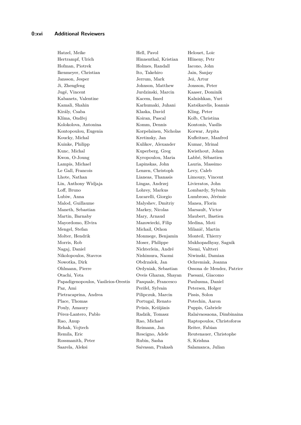Hertrampf, Ulrich Hinnenthal, Kristian Hlineny, Petr Hofman, Piotrek Holmes, Randall Iacono, John Ikenmeyer, Christian Ito, Takehiro Jain, Sanjay Jansson, Jesper Jerrum, Mark Jeż, Artur Ji, Zhengfeng Johnson, Matthew Jonsson, Peter Jugé, Vincent Jurdzinski, Marcin Kaaser, Dominik Kabanets, Valentine Kacem, Imed Kalnishkan, Yuri Kamali, Shahin Karhumaki, Juhani Katsikarelis, Ioannis Király, Csaba Klaska, David Kling, Peter Klíma, Ondřej Koiran, Pascal Kolb, Christina Kolokolova, Antonina Komm, Dennis Kontonis, Vasilis Kontopoulou, Eugenia korpelainen, Nicholas Korwar, Arpita Koucky, Michal Kretinsky, Jan Kufleitner, Manfred Kuinke, Philipp Kulikov, Alexander Kumar, Mrinal Kunc, Michal Kuperberg, Greg Kwisthout, Johan Kwon, O-Joung Kyropoulou, Maria Labbé, Sébastien Lampis, Michael Lapinskas, John Lauria, Massimo Le Gall, Francois Lenzen, Christoph Levy, Caleb Lhote, Nathan Lianeas, Thanasis Limouzy, Vincent Lin, Anthony Widjaja Lingas, Andrzej Livieratos, John Loff, Bruno Lohrey, Markus Lombardy, Sylvain Lubiw, Anna Lucarelli, Giorgio Lumbroso, Jérémie Malod, Guillaume Malyshev, Dmitriy Manea, Florin Maneth, Sebastian Markey, Nicolas Marsault, Victor Martin, Barnaby Mary, Arnaud Maubert, Bastien Mayordomo, Elvira Mazowiecki, Filip Medina, Moti Mengel, Stefan Michail, Othon Milanič, Martin Molter, Hendrik Monmege, Benjamin Monteil, Thierry Morris, Rob Moser, Philippe Mukhopadhyay, Sagnik Nagaj, Daniel Nichterlein, André Niemi, Valtteri Nikolopoulos, Stavros Nishimura, Naomi Niwinski, Damian Nowotka, Dirk Obdrzalek, Jan Ochremiak, Joanna Ohlmann, Pierre Ordyniak, Sebastian Ossona de Mendez, Patrice Otachi, Yota Oveis Gharan, Shayan Paesani, Giacomo Papadigenopoulos, Vasileios-Orestis Pasquale, Francesco Paulusma, Daniel Paz, Ami Perifel, Sylvain Petersen, Holger Pietracaprina, Andrea Pilipczuk, Marcin Pissis, Solon Place, Thomas Portugal, Renato Potechin, Aaron Pouly, Amaury Prūsis, Krišiānis Puppis, Gabriele Pérez-Lantero, Pablo Radzik, Tomasz Ralaivaosaona, Dimbinaina Rao, Anup Rao, Michael Raptopoulos, Christoforos Rehak, Vojtech Reimann, Jan Reiter, Fabian Remila, Eric Rescigno, Adele Reutenauer, Christophe Rossmanith, Peter Rubin, Sasha S, Krishna Saarela, Aleksi Saivasan, Prakash Salamanca, Julian

Hatzel, Meike Hell, Pavol Helouet, Loic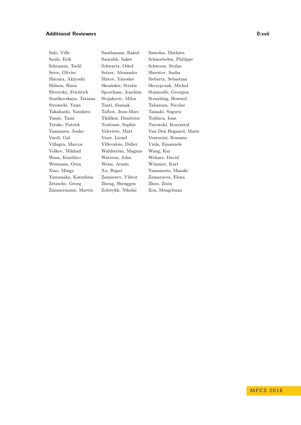#### **Additional Reviewers 0:xvii**

Saule, Erik Saurabh, Saket Schnoebelen, Philippe Schramm, Tselil Schwartz, Oded Schwoon, Stefan Serre, Olivier Setzer, Alexander Sherstov, Sasha Shioura, Akiyoshi Shitov, Yaroslav Siebertz, Sebastian Sklinos, Rizos Skoulakis, Stratis Skrzypczak, Michał Slivovsky, Friedrich Spoerhase, Joachim Stamoulis, Georgios Starikovskaya, Tatiana Stojakovic, Milos Straubing, Howard Strozecki, Yann Taati, Siamak Tabareau, Nicolas Takahashi, Yasuhiro Talbot, Jean-Marc Tamaki, Suguru Tamir, Tami Thilikos, Dimitrios Todinca, Ioan Totzke, Patrick Toulouse, Sophie Turowski, Krzysztof Vaananen, Jouko Valeriote, Matt Van Den Bogaard, Marie Vardi, Gal Vaux, Lionel Venturini, Rossano Villagra, Marcos Villevalois, Didier Viola, Emanuele Volkov, Mikhail Wahlström, Magnus Wang, Kai Wasa, Kunihiro Watrous, John Wehner, David Weimann, Oren Weiss, Armin Wimmer, Karl Xiao, Mingy Xu, Rupei Yamamoto, Masaki Yamanaka, Katsuhisa Zamaraev, Viktor Zamaraeva, Elena Zetzsche, Georg Zheng, Shenggen Zhou, Zixin Zimmermann, Martin Zolotykh, Nikolai Zou, Mengchuan

Salo, Ville Santhanam, Rahul Sassolas, Mathieu